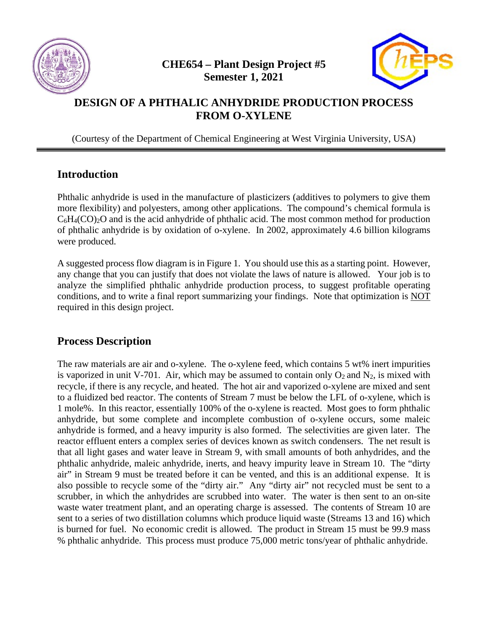



### **DESIGN OF A PHTHALIC ANHYDRIDE PRODUCTION PROCESS FROM O-XYLENE**

(Courtesy of the Department of Chemical Engineering at West Virginia University, USA)

### **Introduction**

Phthalic anhydride is used in the manufacture of plasticizers (additives to polymers to give them more flexibility) and polyesters, among other applications. The compound's chemical formula is  $C_6H_4(CO)_2O$  and is the acid anhydride of phthalic acid. The most common method for production of phthalic anhydride is by oxidation of o-xylene. In 2002, approximately 4.6 billion kilograms were produced.

A suggested process flow diagram is in Figure 1. You should use this as a starting point. However, any change that you can justify that does not violate the laws of nature is allowed. Your job is to analyze the simplified phthalic anhydride production process, to suggest profitable operating conditions, and to write a final report summarizing your findings. Note that optimization is NOT required in this design project.

### **Process Description**

The raw materials are air and o-xylene. The o-xylene feed, which contains 5 wt% inert impurities is vaporized in unit V-701. Air, which may be assumed to contain only  $O_2$  and  $N_2$ , is mixed with recycle, if there is any recycle, and heated. The hot air and vaporized o-xylene are mixed and sent to a fluidized bed reactor. The contents of Stream 7 must be below the LFL of o-xylene, which is 1 mole%. In this reactor, essentially 100% of the o-xylene is reacted. Most goes to form phthalic anhydride, but some complete and incomplete combustion of o-xylene occurs, some maleic anhydride is formed, and a heavy impurity is also formed. The selectivities are given later. The reactor effluent enters a complex series of devices known as switch condensers. The net result is that all light gases and water leave in Stream 9, with small amounts of both anhydrides, and the phthalic anhydride, maleic anhydride, inerts, and heavy impurity leave in Stream 10. The "dirty air" in Stream 9 must be treated before it can be vented, and this is an additional expense. It is also possible to recycle some of the "dirty air." Any "dirty air" not recycled must be sent to a scrubber, in which the anhydrides are scrubbed into water. The water is then sent to an on-site waste water treatment plant, and an operating charge is assessed. The contents of Stream 10 are sent to a series of two distillation columns which produce liquid waste (Streams 13 and 16) which is burned for fuel. No economic credit is allowed. The product in Stream 15 must be 99.9 mass % phthalic anhydride. This process must produce 75,000 metric tons/year of phthalic anhydride.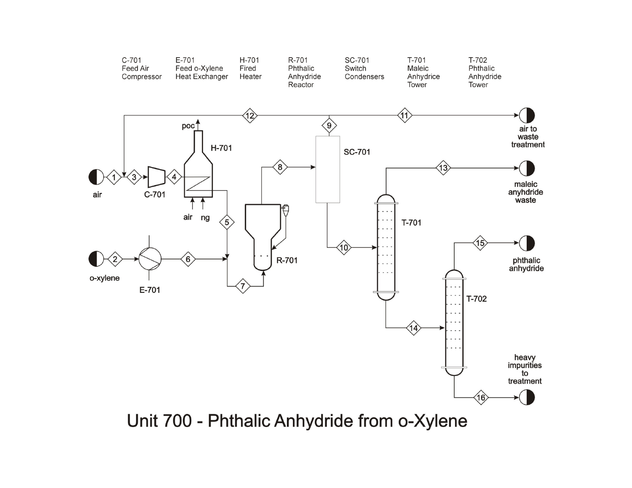

Unit 700 - Phthalic Anhydride from o-Xylene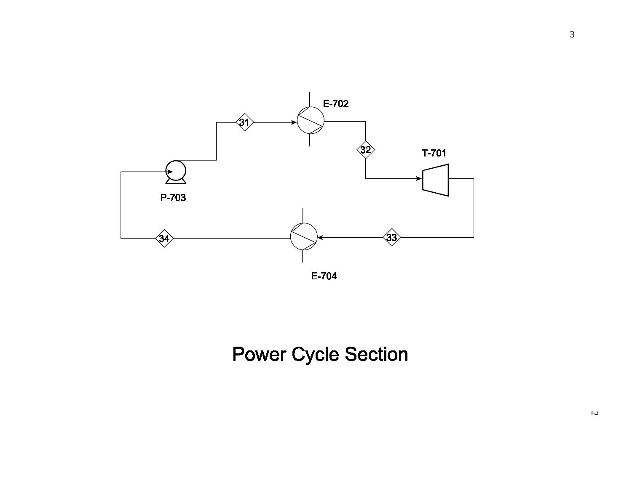

# **Power Cycle Section**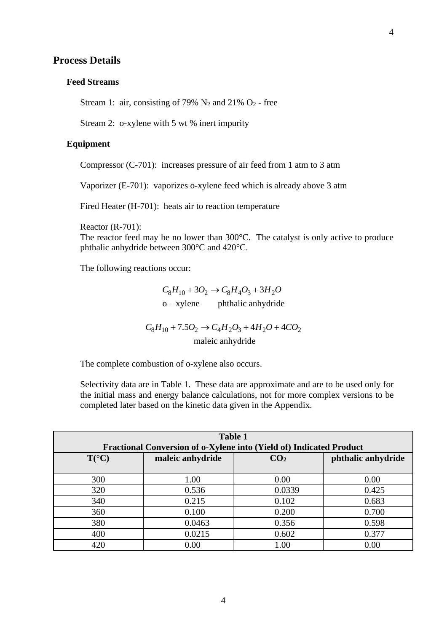#### **Process Details**

#### **Feed Streams**

Stream 1: air, consisting of 79%  $N_2$  and 21%  $O_2$  - free

Stream 2: o-xylene with 5 wt % inert impurity

#### **Equipment**

Compressor (C-701): increases pressure of air feed from 1 atm to 3 atm

Vaporizer (E-701): vaporizes o-xylene feed which is already above 3 atm

Fired Heater (H-701): heats air to reaction temperature

Reactor (R-701):

The reactor feed may be no lower than 300°C. The catalyst is only active to produce phthalic anhydride between 300°C and 420°C.

The following reactions occur:

phthalic anhydride  $C_8H_{10} + 3O_2 \rightarrow C_8H_4O_3 + 3H_2O$ o – xylene

maleic anhydride  $C_8H_{10} + 7.5O_2 \rightarrow C_4H_2O_3 + 4H_2O + 4CO_2$ 

The complete combustion of o-xylene also occurs.

Selectivity data are in Table 1. These data are approximate and are to be used only for the initial mass and energy balance calculations, not for more complex versions to be completed later based on the kinetic data given in the Appendix.

| <b>Table 1</b><br>Fractional Conversion of o-Xylene into (Yield of) Indicated Product |                  |                 |                    |  |
|---------------------------------------------------------------------------------------|------------------|-----------------|--------------------|--|
| $T({}^{\circ}C)$                                                                      | maleic anhydride | CO <sub>2</sub> | phthalic anhydride |  |
| 300                                                                                   | 1.00             | 0.00            | 0.00               |  |
| 320                                                                                   | 0.536            | 0.0339          | 0.425              |  |
| 340                                                                                   | 0.215            | 0.102           | 0.683              |  |
| 360                                                                                   | 0.100            | 0.200           | 0.700              |  |
| 380                                                                                   | 0.0463           | 0.356           | 0.598              |  |
| 400                                                                                   | 0.0215           | 0.602           | 0.377              |  |
| 420                                                                                   | 0.00             | 1.00            | 0.00               |  |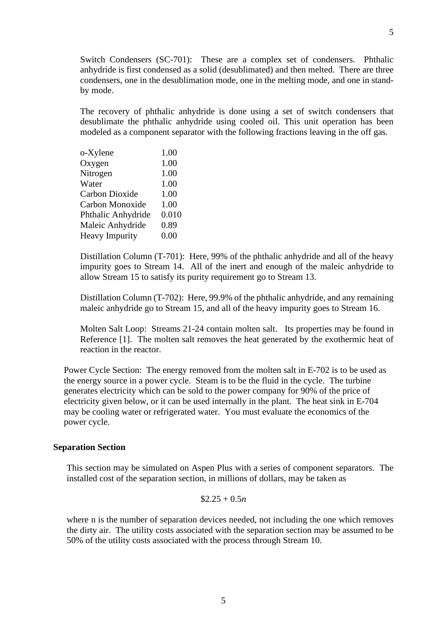Switch Condensers (SC-701): These are a complex set of condensers. Phthalic anhydride is first condensed as a solid (desublimated) and then melted. There are three condensers, one in the desublimation mode, one in the melting mode, and one in standby mode.

The recovery of phthalic anhydride is done using a set of switch condensers that desublimate the phthalic anhydride using cooled oil. This unit operation has been modeled as a component separator with the following fractions leaving in the off gas.

| 1.00  |
|-------|
| 1.00  |
| 1.00  |
| 1.00  |
| 1.00  |
| 1.00  |
| 0.010 |
| 0.89  |
| 0.00  |
|       |

Distillation Column (T-701): Here, 99% of the phthalic anhydride and all of the heavy impurity goes to Stream 14. All of the inert and enough of the maleic anhydride to allow Stream 15 to satisfy its purity requirement go to Stream 13.

Distillation Column (T-702): Here, 99.9% of the phthalic anhydride, and any remaining maleic anhydride go to Stream 15, and all of the heavy impurity goes to Stream 16.

Molten Salt Loop: Streams 21-24 contain molten salt. Its properties may be found in Reference [1]. The molten salt removes the heat generated by the exothermic heat of reaction in the reactor.

Power Cycle Section: The energy removed from the molten salt in E-702 is to be used as the energy source in a power cycle. Steam is to be the fluid in the cycle. The turbine generates electricity which can be sold to the power company for 90% of the price of electricity given below, or it can be used internally in the plant. The heat sink in E-704 may be cooling water or refrigerated water. You must evaluate the economics of the power cycle.

#### **Separation Section**

This section may be simulated on Aspen Plus with a series of component separators. The installed cost of the separation section, in millions of dollars, may be taken as

#### $$2.25 + 0.5n$

where n is the number of separation devices needed, not including the one which removes the dirty air. The utility costs associated with the separation section may be assumed to be 50% of the utility costs associated with the process through Stream 10.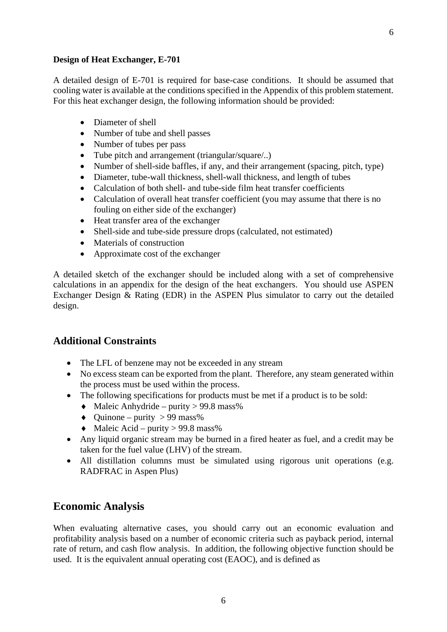A detailed design of E-701 is required for base-case conditions. It should be assumed that cooling water is available at the conditions specified in the Appendix of this problem statement. For this heat exchanger design, the following information should be provided:

- Diameter of shell
- Number of tube and shell passes
- Number of tubes per pass
- Tube pitch and arrangement (triangular/square/..)
- Number of shell-side baffles, if any, and their arrangement (spacing, pitch, type)
- Diameter, tube-wall thickness, shell-wall thickness, and length of tubes
- Calculation of both shell- and tube-side film heat transfer coefficients
- Calculation of overall heat transfer coefficient (you may assume that there is no fouling on either side of the exchanger)
- Heat transfer area of the exchanger
- Shell-side and tube-side pressure drops (calculated, not estimated)
- Materials of construction
- Approximate cost of the exchanger

A detailed sketch of the exchanger should be included along with a set of comprehensive calculations in an appendix for the design of the heat exchangers. You should use ASPEN Exchanger Design & Rating (EDR) in the ASPEN Plus simulator to carry out the detailed design.

### **Additional Constraints**

- The LFL of benzene may not be exceeded in any stream
- No excess steam can be exported from the plant. Therefore, any steam generated within the process must be used within the process.
- The following specifications for products must be met if a product is to be sold:
	- $\triangleleft$  Maleic Anhydride purity > 99.8 mass%
		- $\triangleleft$  Ouinone purity > 99 mass%
		- $\triangleleft$  Maleic Acid purity > 99.8 mass%
- Any liquid organic stream may be burned in a fired heater as fuel, and a credit may be taken for the fuel value (LHV) of the stream.
- All distillation columns must be simulated using rigorous unit operations (e.g. RADFRAC in Aspen Plus)

### **Economic Analysis**

When evaluating alternative cases, you should carry out an economic evaluation and profitability analysis based on a number of economic criteria such as payback period, internal rate of return, and cash flow analysis. In addition, the following objective function should be used. It is the equivalent annual operating cost (EAOC), and is defined as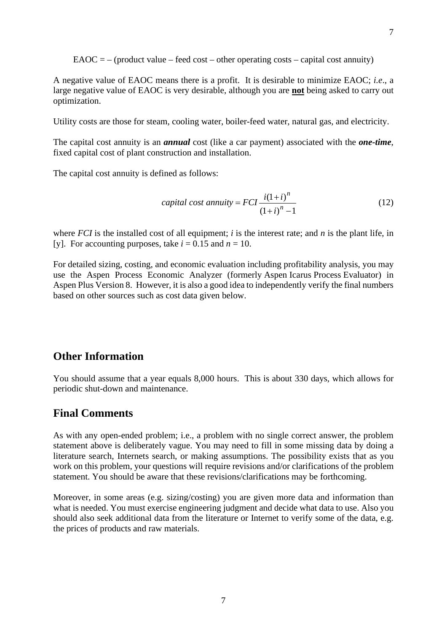$E A O C = -$  (product value – feed cost – other operating costs – capital cost annuity)

A negative value of EAOC means there is a profit. It is desirable to minimize EAOC; *i.e*., a large negative value of EAOC is very desirable, although you are **not** being asked to carry out optimization.

Utility costs are those for steam, cooling water, boiler-feed water, natural gas, and electricity.

The capital cost annuity is an *annual* cost (like a car payment) associated with the *one-time*, fixed capital cost of plant construction and installation.

The capital cost annuity is defined as follows:

$$
capital cost annuity = FCI \frac{i(1+i)^n}{(1+i)^n - 1}
$$
\n(12)

where *FCI* is the installed cost of all equipment; *i* is the interest rate; and *n* is the plant life, in [v]. For accounting purposes, take  $i = 0.15$  and  $n = 10$ .

For detailed sizing, costing, and economic evaluation including profitability analysis, you may use the Aspen Process Economic Analyzer (formerly Aspen Icarus Process Evaluator) in Aspen Plus Version 8. However, it is also a good idea to independently verify the final numbers based on other sources such as cost data given below.

#### **Other Information**

You should assume that a year equals 8,000 hours. This is about 330 days, which allows for periodic shut-down and maintenance.

#### **Final Comments**

As with any open-ended problem; i.e., a problem with no single correct answer, the problem statement above is deliberately vague. You may need to fill in some missing data by doing a literature search, Internets search, or making assumptions. The possibility exists that as you work on this problem, your questions will require revisions and/or clarifications of the problem statement. You should be aware that these revisions/clarifications may be forthcoming.

Moreover, in some areas (e.g. sizing/costing) you are given more data and information than what is needed. You must exercise engineering judgment and decide what data to use. Also you should also seek additional data from the literature or Internet to verify some of the data, e.g. the prices of products and raw materials.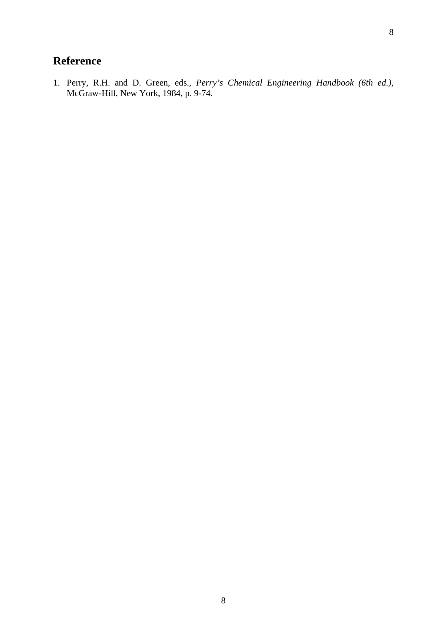# **Reference**

1. Perry, R.H. and D. Green, eds., *Perry's Chemical Engineering Handbook (6th ed.)*, McGraw-Hill, New York, 1984, p. 9-74.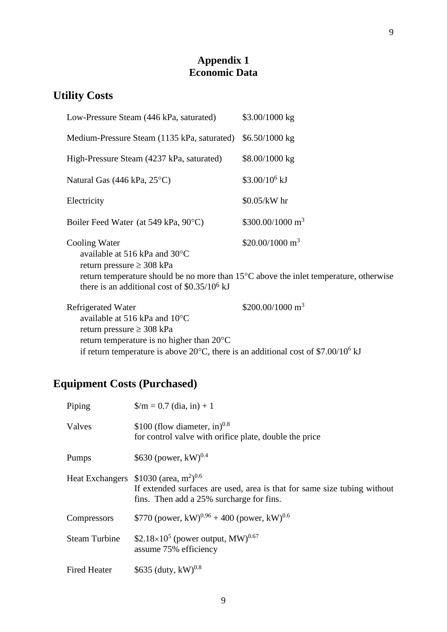### **Appendix 1 Economic Data**

# **Utility Costs**

| Low-Pressure Steam (446 kPa, saturated)                                                                                                                                                                                                           | $$3.00/1000$ kg            |
|---------------------------------------------------------------------------------------------------------------------------------------------------------------------------------------------------------------------------------------------------|----------------------------|
| Medium-Pressure Steam (1135 kPa, saturated)                                                                                                                                                                                                       | $$6.50/1000$ kg            |
| High-Pressure Steam (4237 kPa, saturated)                                                                                                                                                                                                         | \$8.00/1000 kg             |
| Natural Gas (446 kPa, 25°C)                                                                                                                                                                                                                       | \$3.00/10 <sup>6</sup> kJ  |
| Electricity                                                                                                                                                                                                                                       | $$0.05/kW$ hr              |
| Boiler Feed Water (at 549 kPa, 90 °C)                                                                                                                                                                                                             | $$300.00/1000 \text{ m}^3$ |
| Cooling Water<br>available at 516 kPa and $30^{\circ}$ C<br>return pressure $\geq$ 308 kPa<br>return temperature should be no more than 15 <sup>o</sup> C above the inlet temperature, otherwise<br>there is an additional cost of $$0.35/106$ kJ | $$20.00/1000 \text{ m}^3$  |
| Refrigerated Water<br>available at 516 kPa and $10^{\circ}$ C<br>return pressure $\geq$ 308 kPa<br>return temperature is no higher than $20^{\circ}$ C                                                                                            | $$200.00/1000 \text{ m}^3$ |

if return temperature is above 20 $^{\circ}$ C, there is an additional cost of \$7.00/10<sup>6</sup> kJ

# **Equipment Costs (Purchased)**

| Piping               | $\gamma/m = 0.7$ (dia, in) + 1                                                                                                                                                         |
|----------------------|----------------------------------------------------------------------------------------------------------------------------------------------------------------------------------------|
| Valves               | \$100 (flow diameter, in) $^{0.8}$<br>for control valve with orifice plate, double the price                                                                                           |
| Pumps                | \$630 (power, $kW$ ) <sup>0.4</sup>                                                                                                                                                    |
|                      | Heat Exchangers $$1030$ (area, m <sup>2</sup> ) <sup>0.6</sup><br>If extended surfaces are used, area is that for same size tubing without<br>fins. Then add a 25% surcharge for fins. |
| Compressors          | \$770 (power, kW) <sup>0.96</sup> + 400 (power, kW) <sup>0.6</sup>                                                                                                                     |
| <b>Steam Turbine</b> | \$2.18×10 <sup>5</sup> (power output, MW) <sup>0.67</sup><br>assume 75% efficiency                                                                                                     |
| <b>Fired Heater</b>  | \$635 (duty, $kW$ ) <sup>0.8</sup>                                                                                                                                                     |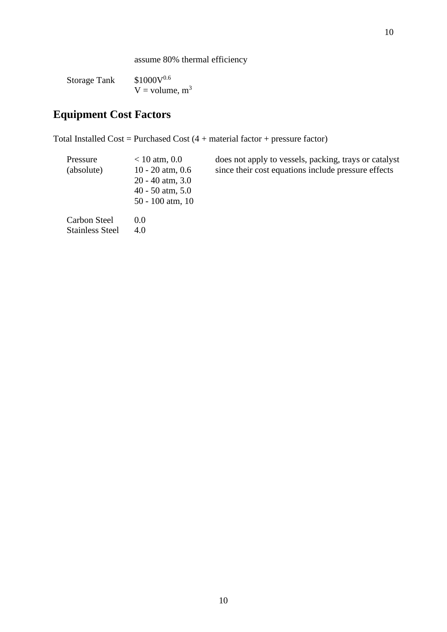assume 80% thermal efficiency

Storage Tank  $$1000V^{0.6}$  $V =$  volume,  $m<sup>3</sup>$ 

# **Equipment Cost Factors**

Total Installed Cost = Purchased Cost  $(4 + material factor + pressure factor)$ 

| Pressure               | $< 10$ atm, 0.0                                                      | does not  |
|------------------------|----------------------------------------------------------------------|-----------|
| (absolute)             | $10 - 20$ atm, $0.6$<br>$20 - 40$ atm, $3.0$<br>$40 - 50$ atm, $5.0$ | since the |
| Carbon Steel           | $50 - 100$ atm, 10<br>0.0                                            |           |
| <b>Stainless Steel</b> | 4.0                                                                  |           |

apply to vessels, packing, trays or catalyst  $\overline{\text{arcc}}$  in  $\overline{\text{arcc}}$  cost equations include pressure effects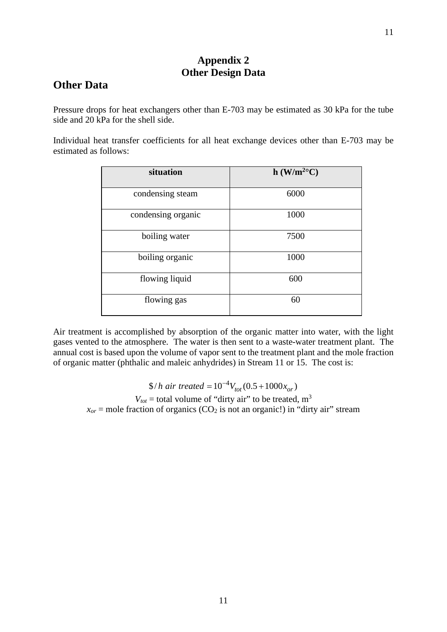### **Appendix 2 Other Design Data**

### **Other Data**

Pressure drops for heat exchangers other than E-703 may be estimated as 30 kPa for the tube side and 20 kPa for the shell side.

Individual heat transfer coefficients for all heat exchange devices other than E-703 may be estimated as follows:

| situation          | $h (W/m^{2o}C)$ |
|--------------------|-----------------|
| condensing steam   | 6000            |
| condensing organic | 1000            |
| boiling water      | 7500            |
| boiling organic    | 1000            |
| flowing liquid     | 600             |
| flowing gas        | 60              |

Air treatment is accomplished by absorption of the organic matter into water, with the light gases vented to the atmosphere. The water is then sent to a waste-water treatment plant. The annual cost is based upon the volume of vapor sent to the treatment plant and the mole fraction of organic matter (phthalic and maleic anhydrides) in Stream 11 or 15. The cost is:

 $\frac{\$}{h}$  *air treated* =  $10^{-4} V_{tot} (0.5 + 1000 x_{or})$  $V_{tot}$  = total volume of "dirty air" to be treated, m<sup>3</sup>  $x_{or}$  = mole fraction of organics (CO<sub>2</sub> is not an organic!) in "dirty air" stream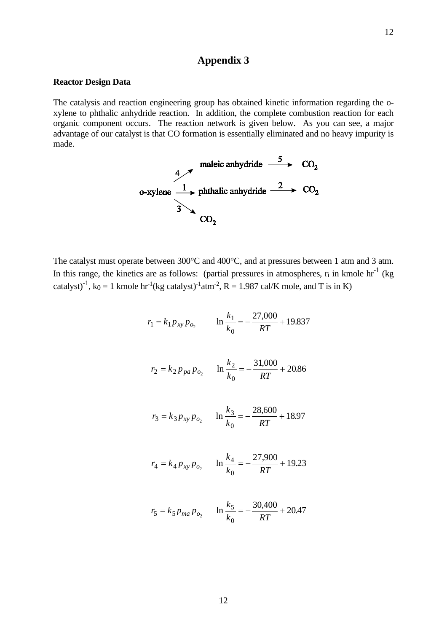### **Appendix 3**

#### **Reactor Design Data**

The catalysis and reaction engineering group has obtained kinetic information regarding the oxylene to phthalic anhydride reaction. In addition, the complete combustion reaction for each organic component occurs. The reaction network is given below. As you can see, a major advantage of our catalyst is that CO formation is essentially eliminated and no heavy impurity is made.

$$
\begin{array}{ccc}\n & \text{maleic anhydride} & \xrightarrow{5} & \text{CO}_2 \\
\text{o-xylene} & \xrightarrow{1} & \text{phthalic anhydride} & \xrightarrow{2} & \text{CO}_2 \\
\hline\n & 3 & & \text{CO}_2\n\end{array}
$$

 $\overline{a}$ 

The catalyst must operate between 300°C and 400°C, and at pressures between 1 atm and 3 atm. In this range, the kinetics are as follows: (partial pressures in atmospheres,  $r_i$  in kmole  $hr^{-1}$  (kg catalyst)<sup>-1</sup>, k<sub>0</sub> = 1 kmole hr<sup>-1</sup>(kg catalyst)<sup>-1</sup> atm<sup>-2</sup>, R = 1.987 cal/K mole, and T is in K)

$$
r_1 = k_1 p_{xy} p_{o_2} \qquad \ln \frac{k_1}{k_0} = -\frac{27,000}{RT} + 19.837
$$

$$
r_2 = k_2 p_{pa} p_{o_2} \qquad \ln \frac{k_2}{k_0} = -\frac{31,000}{RT} + 20.86
$$

$$
r_3 = k_3 p_{xy} p_{o_2}
$$
  $\ln \frac{k_3}{k_0} = -\frac{28,600}{RT} + 18.97$ 

$$
r_4 = k_4 p_{xy} p_{o_2} \qquad \ln \frac{k_4}{k_0} = -\frac{27,900}{RT} + 19.23
$$

$$
r_5 = k_5 p_{ma} p_{o_2}
$$
  $\ln \frac{k_5}{k_0} = -\frac{30,400}{RT} + 20.47$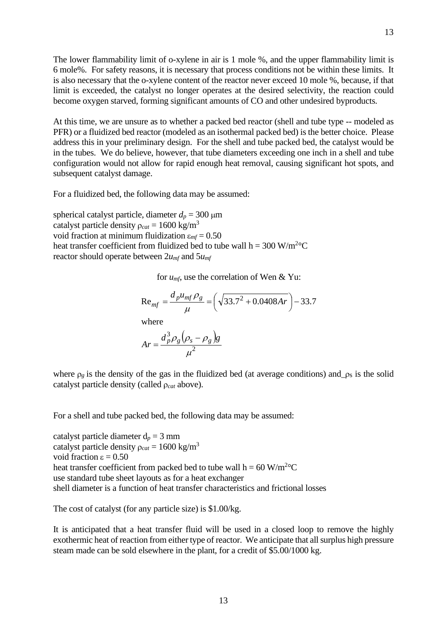The lower flammability limit of o-xylene in air is 1 mole %, and the upper flammability limit is 6 mole%. For safety reasons, it is necessary that process conditions not be within these limits. It is also necessary that the o-xylene content of the reactor never exceed 10 mole %, because, if that limit is exceeded, the catalyst no longer operates at the desired selectivity, the reaction could become oxygen starved, forming significant amounts of CO and other undesired byproducts.

At this time, we are unsure as to whether a packed bed reactor (shell and tube type -- modeled as PFR) or a fluidized bed reactor (modeled as an isothermal packed bed) is the better choice. Please address this in your preliminary design. For the shell and tube packed bed, the catalyst would be in the tubes. We do believe, however, that tube diameters exceeding one inch in a shell and tube configuration would not allow for rapid enough heat removal, causing significant hot spots, and subsequent catalyst damage.

For a fluidized bed, the following data may be assumed:

spherical catalyst particle, diameter  $d_p = 300 \text{ }\mu\text{m}$ catalyst particle density  $\rho_{cat} = 1600 \text{ kg/m}^3$ void fraction at minimum fluidization ε*mf* = 0.50 heat transfer coefficient from fluidized bed to tube wall  $h = 300 \text{ W/m}^2$ <sup>o</sup>C reactor should operate between 2*umf* and 5*umf*

for *umf*, use the correlation of Wen & Yu:

$$
Re_{mf} = \frac{d_p u_{mf} \rho_g}{\mu} = \left(\sqrt{33.7^2 + 0.0408Ar}\right) - 33.7
$$
  
where

 $(\rho_{s} - \rho_{o})$ 2 3  $Ar = \frac{d_p^3 \rho_g (\rho_s - \rho_g)g}{2}$ 

 $\mu$ 

where  $\rho_g$  is the density of the gas in the fluidized bed (at average conditions) and  $\rho_s$  is the solid catalyst particle density (called ρ*cat* above).

For a shell and tube packed bed, the following data may be assumed:

catalyst particle diameter  $d_p = 3$  mm catalyst particle density  $\rho_{cat} = 1600 \text{ kg/m}^3$ void fraction ε = 0.50 heat transfer coefficient from packed bed to tube wall  $h = 60$  W/m<sup>2</sup>°C use standard tube sheet layouts as for a heat exchanger shell diameter is a function of heat transfer characteristics and frictional losses

The cost of catalyst (for any particle size) is \$1.00/kg.

It is anticipated that a heat transfer fluid will be used in a closed loop to remove the highly exothermic heat of reaction from either type of reactor. We anticipate that all surplus high pressure steam made can be sold elsewhere in the plant, for a credit of \$5.00/1000 kg.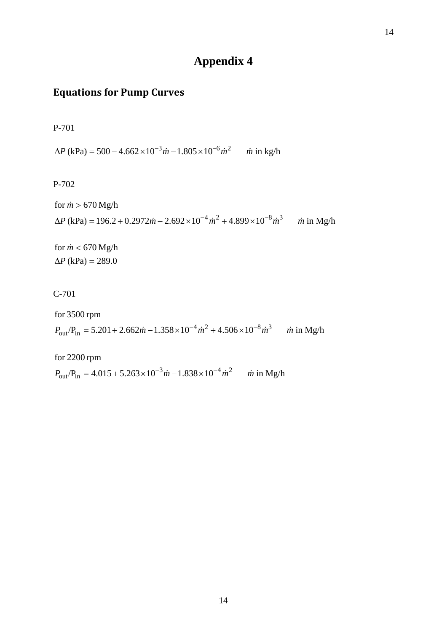# **Appendix 4**

14

# **Equations for Pump Curves**

P-701

 $\Delta P$  (kPa) = 500 - 4.662 × 10<sup>-3</sup> *m* - 1.805 × 10<sup>-6</sup> *m*<sup>2</sup> *m* in kg/h

P-702

for 
$$
\dot{m} > 670
$$
 Mg/h  
\n
$$
\Delta P \text{ (kPa)} = 196.2 + 0.2972 \dot{m} - 2.692 \times 10^{-4} \dot{m}^2 + 4.899 \times 10^{-8} \dot{m}^3 \qquad \dot{m} \text{ in Mg/h}
$$

 $\Delta P$  (kPa) = 289.0 for  $\dot{m}$  < 670 Mg/h

C-701

for 3500 rpm  
\n
$$
P_{\text{out}}/P_{\text{in}} = 5.201 + 2.662 \dot{m} - 1.358 \times 10^{-4} \dot{m}^2 + 4.506 \times 10^{-8} \dot{m}^3
$$
 *in* in Mg/h

 $P_{\text{in}} = 4.015 + 5.263 \times 10^{-3} \dot{m} - 1.838 \times 10^{-4} \dot{m}^2$  *m* in Mg/h for 2200 rpm  $P_{\text{out}}/P_{\text{in}} = 4.015 + 5.263 \times 10^{-3} \dot{m} - 1.838 \times 10^{-4} \dot{m}^2$  *m*